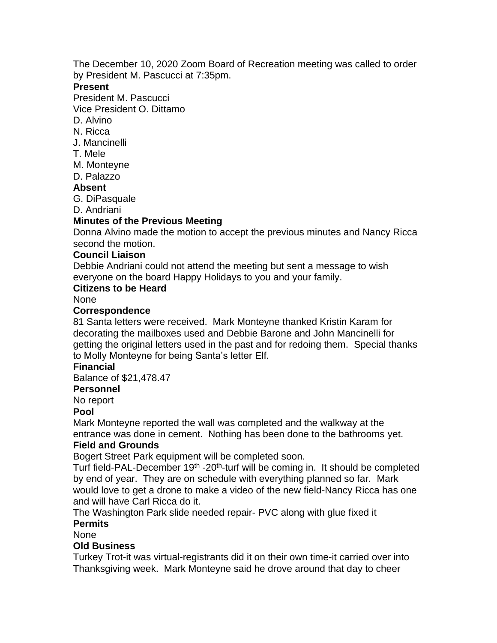The December 10, 2020 Zoom Board of Recreation meeting was called to order by President M. Pascucci at 7:35pm.

## **Present**

President M. Pascucci

Vice President O. Dittamo

- D. Alvino
- N. Ricca
- J. Mancinelli
- T. Mele
- M. Monteyne
- D. Palazzo

## **Absent**

G. DiPasquale

D. Andriani

# **Minutes of the Previous Meeting**

Donna Alvino made the motion to accept the previous minutes and Nancy Ricca second the motion.

#### **Council Liaison**

Debbie Andriani could not attend the meeting but sent a message to wish everyone on the board Happy Holidays to you and your family.

#### **Citizens to be Heard**

None

#### **Correspondence**

81 Santa letters were received. Mark Monteyne thanked Kristin Karam for decorating the mailboxes used and Debbie Barone and John Mancinelli for getting the original letters used in the past and for redoing them. Special thanks to Molly Monteyne for being Santa's letter Elf.

#### **Financial**

Balance of \$21,478.47

#### **Personnel**

No report

## **Pool**

Mark Monteyne reported the wall was completed and the walkway at the entrance was done in cement. Nothing has been done to the bathrooms yet.

## **Field and Grounds**

Bogert Street Park equipment will be completed soon.

Turf field-PAL-December 19<sup>th</sup> -20<sup>th</sup>-turf will be coming in. It should be completed by end of year. They are on schedule with everything planned so far. Mark would love to get a drone to make a video of the new field-Nancy Ricca has one and will have Carl Ricca do it.

The Washington Park slide needed repair- PVC along with glue fixed it **Permits**

## None

# **Old Business**

Turkey Trot-it was virtual-registrants did it on their own time-it carried over into Thanksgiving week. Mark Monteyne said he drove around that day to cheer